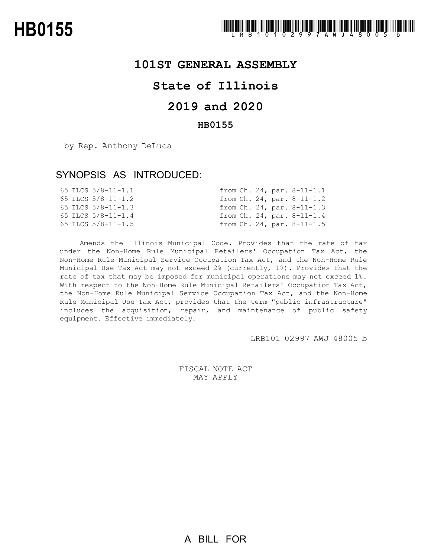### **101ST GENERAL ASSEMBLY**

# **State of Illinois**

### **2019 and 2020**

### **HB0155**

by Rep. Anthony DeLuca

## SYNOPSIS AS INTRODUCED:

|  | 65 ILCS $5/8 - 11 - 1.1$ |  |  | from $Ch. 24. par. 8-11-1.1$    |
|--|--------------------------|--|--|---------------------------------|
|  | 65 ILCS $5/8 - 11 - 1.2$ |  |  | from $Ch. 24$ , par. $8-11-1.2$ |
|  | 65 ILCS $5/8 - 11 - 1.3$ |  |  | from $Ch. 24. par. 8-11-1.3$    |
|  | 65 ILCS 5/8-11-1.4       |  |  | from $Ch. 24. par. 8-11-1.4$    |
|  | 65 ILCS $5/8 - 11 - 1.5$ |  |  | from $Ch. 24. par. 8-11-1.5$    |

Amends the Illinois Municipal Code. Provides that the rate of tax under the Non-Home Rule Municipal Retailers' Occupation Tax Act, the Non-Home Rule Municipal Service Occupation Tax Act, and the Non-Home Rule Municipal Use Tax Act may not exceed 2% (currently, 1%). Provides that the rate of tax that may be imposed for municipal operations may not exceed 1%. With respect to the Non-Home Rule Municipal Retailers' Occupation Tax Act, the Non-Home Rule Municipal Service Occupation Tax Act, and the Non-Home Rule Municipal Use Tax Act, provides that the term "public infrastructure" includes the acquisition, repair, and maintenance of public safety equipment. Effective immediately.

LRB101 02997 AWJ 48005 b

FISCAL NOTE ACT MAY APPLY

A BILL FOR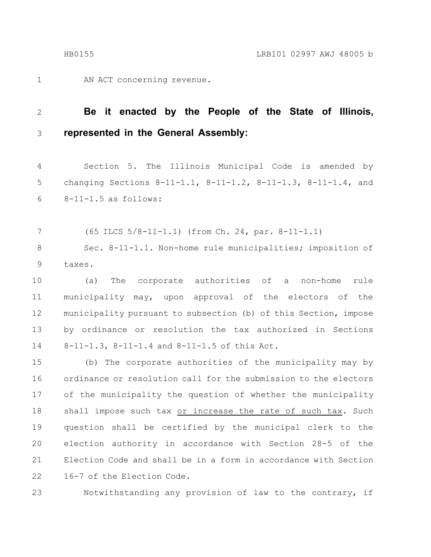1

AN ACT concerning revenue.

#### **Be it enacted by the People of the State of Illinois, represented in the General Assembly:** 2 3

Section 5. The Illinois Municipal Code is amended by changing Sections  $8-11-1.1$ ,  $8-11-1.2$ ,  $8-11-1.3$ ,  $8-11-1.4$ , and 8-11-1.5 as follows: 4 5 6

(65 ILCS 5/8-11-1.1) (from Ch. 24, par. 8-11-1.1) 7

Sec. 8-11-1.1. Non-home rule municipalities; imposition of taxes. 8 9

(a) The corporate authorities of a non-home rule municipality may, upon approval of the electors of the municipality pursuant to subsection (b) of this Section, impose by ordinance or resolution the tax authorized in Sections 8-11-1.3, 8-11-1.4 and 8-11-1.5 of this Act. 10 11 12 13 14

(b) The corporate authorities of the municipality may by ordinance or resolution call for the submission to the electors of the municipality the question of whether the municipality shall impose such tax or increase the rate of such tax. Such question shall be certified by the municipal clerk to the election authority in accordance with Section 28-5 of the Election Code and shall be in a form in accordance with Section 16-7 of the Election Code. 15 16 17 18 19 20 21 22

23

Notwithstanding any provision of law to the contrary, if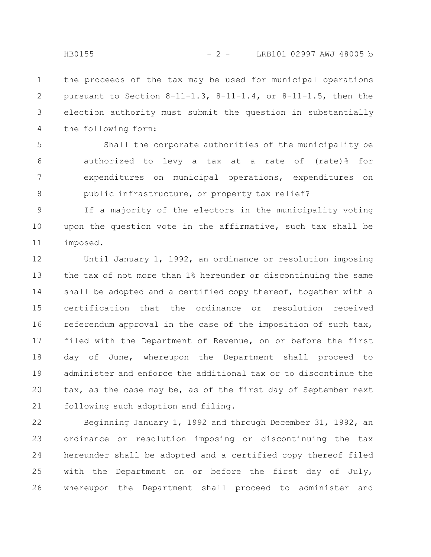the proceeds of the tax may be used for municipal operations pursuant to Section 8-11-1.3, 8-11-1.4, or 8-11-1.5, then the election authority must submit the question in substantially the following form: 1 2 3 4

Shall the corporate authorities of the municipality be authorized to levy a tax at a rate of (rate)% for expenditures on municipal operations, expenditures on public infrastructure, or property tax relief? 5 6 7 8

If a majority of the electors in the municipality voting upon the question vote in the affirmative, such tax shall be imposed. 9 10 11

Until January 1, 1992, an ordinance or resolution imposing the tax of not more than 1% hereunder or discontinuing the same shall be adopted and a certified copy thereof, together with a certification that the ordinance or resolution received referendum approval in the case of the imposition of such tax, filed with the Department of Revenue, on or before the first day of June, whereupon the Department shall proceed to administer and enforce the additional tax or to discontinue the tax, as the case may be, as of the first day of September next following such adoption and filing. 12 13 14 15 16 17 18 19 20 21

Beginning January 1, 1992 and through December 31, 1992, an ordinance or resolution imposing or discontinuing the tax hereunder shall be adopted and a certified copy thereof filed with the Department on or before the first day of July, whereupon the Department shall proceed to administer and 22 23 24 25 26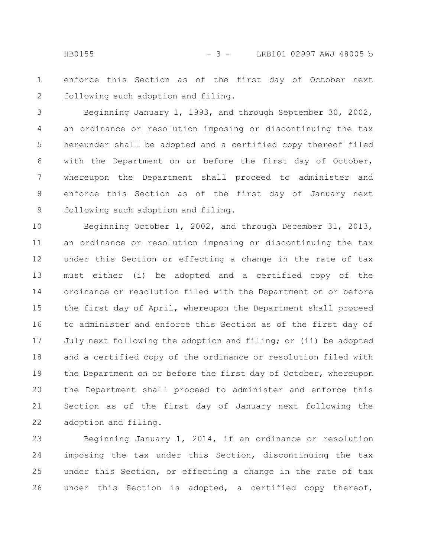enforce this Section as of the first day of October next following such adoption and filing. 1 2

Beginning January 1, 1993, and through September 30, 2002, an ordinance or resolution imposing or discontinuing the tax hereunder shall be adopted and a certified copy thereof filed with the Department on or before the first day of October, whereupon the Department shall proceed to administer and enforce this Section as of the first day of January next following such adoption and filing. 3 4 5 6 7 8 9

Beginning October 1, 2002, and through December 31, 2013, an ordinance or resolution imposing or discontinuing the tax under this Section or effecting a change in the rate of tax must either (i) be adopted and a certified copy of the ordinance or resolution filed with the Department on or before the first day of April, whereupon the Department shall proceed to administer and enforce this Section as of the first day of July next following the adoption and filing; or (ii) be adopted and a certified copy of the ordinance or resolution filed with the Department on or before the first day of October, whereupon the Department shall proceed to administer and enforce this Section as of the first day of January next following the adoption and filing. 10 11 12 13 14 15 16 17 18 19 20 21 22

Beginning January 1, 2014, if an ordinance or resolution imposing the tax under this Section, discontinuing the tax under this Section, or effecting a change in the rate of tax under this Section is adopted, a certified copy thereof, 23 24 25 26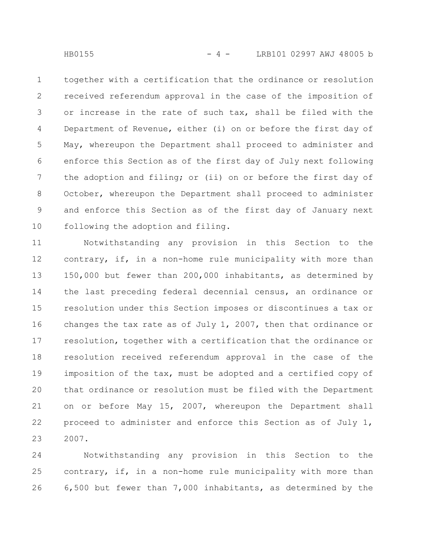together with a certification that the ordinance or resolution received referendum approval in the case of the imposition of or increase in the rate of such tax, shall be filed with the Department of Revenue, either (i) on or before the first day of May, whereupon the Department shall proceed to administer and enforce this Section as of the first day of July next following the adoption and filing; or (ii) on or before the first day of October, whereupon the Department shall proceed to administer and enforce this Section as of the first day of January next following the adoption and filing. 1 2 3 4 5 6 7 8 9 10

Notwithstanding any provision in this Section to the contrary, if, in a non-home rule municipality with more than 150,000 but fewer than 200,000 inhabitants, as determined by the last preceding federal decennial census, an ordinance or resolution under this Section imposes or discontinues a tax or changes the tax rate as of July 1, 2007, then that ordinance or resolution, together with a certification that the ordinance or resolution received referendum approval in the case of the imposition of the tax, must be adopted and a certified copy of that ordinance or resolution must be filed with the Department on or before May 15, 2007, whereupon the Department shall proceed to administer and enforce this Section as of July 1, 2007. 11 12 13 14 15 16 17 18 19 20 21 22 23

Notwithstanding any provision in this Section to the contrary, if, in a non-home rule municipality with more than 6,500 but fewer than 7,000 inhabitants, as determined by the 24 25 26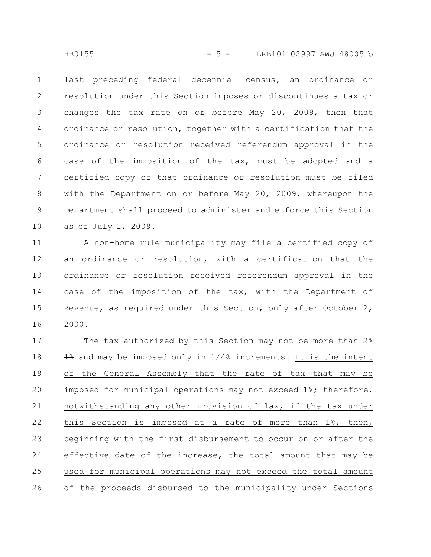HB0155 - 5 - LRB101 02997 AWJ 48005 b

last preceding federal decennial census, an ordinance or resolution under this Section imposes or discontinues a tax or changes the tax rate on or before May 20, 2009, then that ordinance or resolution, together with a certification that the ordinance or resolution received referendum approval in the case of the imposition of the tax, must be adopted and a certified copy of that ordinance or resolution must be filed with the Department on or before May 20, 2009, whereupon the Department shall proceed to administer and enforce this Section as of July 1, 2009. 1 2 3 4 5 6 7 8 9 10

A non-home rule municipality may file a certified copy of an ordinance or resolution, with a certification that the ordinance or resolution received referendum approval in the case of the imposition of the tax, with the Department of Revenue, as required under this Section, only after October 2, 2000. 11 12 13 14 15 16

The tax authorized by this Section may not be more than 2%  $1\%$  and may be imposed only in  $1/4\%$  increments. It is the intent of the General Assembly that the rate of tax that may be imposed for municipal operations may not exceed 1%; therefore, notwithstanding any other provision of law, if the tax under this Section is imposed at a rate of more than 1%, then, beginning with the first disbursement to occur on or after the effective date of the increase, the total amount that may be used for municipal operations may not exceed the total amount of the proceeds disbursed to the municipality under Sections 17 18 19 20 21 22 23 24 25 26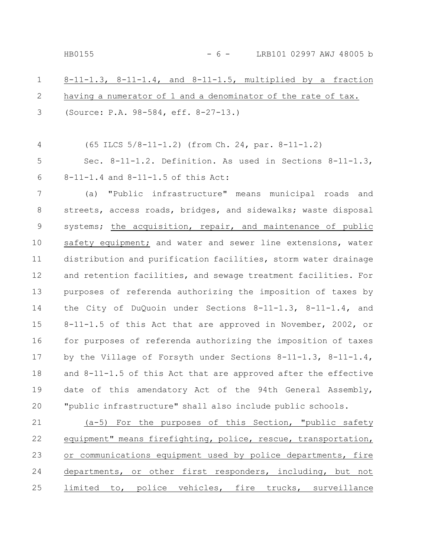8-11-1.3, 8-11-1.4, and 8-11-1.5, multiplied by a fraction having a numerator of 1 and a denominator of the rate of tax. (Source: P.A. 98-584, eff. 8-27-13.) 1 2 3

(65 ILCS 5/8-11-1.2) (from Ch. 24, par. 8-11-1.2) 4

Sec. 8-11-1.2. Definition. As used in Sections 8-11-1.3, 8-11-1.4 and 8-11-1.5 of this Act: 5 6

(a) "Public infrastructure" means municipal roads and streets, access roads, bridges, and sidewalks; waste disposal systems; the acquisition, repair, and maintenance of public safety equipment; and water and sewer line extensions, water distribution and purification facilities, storm water drainage and retention facilities, and sewage treatment facilities. For purposes of referenda authorizing the imposition of taxes by the City of DuQuoin under Sections 8-11-1.3, 8-11-1.4, and 8-11-1.5 of this Act that are approved in November, 2002, or for purposes of referenda authorizing the imposition of taxes by the Village of Forsyth under Sections 8-11-1.3, 8-11-1.4, and 8-11-1.5 of this Act that are approved after the effective date of this amendatory Act of the 94th General Assembly, "public infrastructure" shall also include public schools. 7 8 9 10 11 12 13 14 15 16 17 18 19 20

(a-5) For the purposes of this Section, "public safety equipment" means firefighting, police, rescue, transportation, or communications equipment used by police departments, fire departments, or other first responders, including, but not limited to, police vehicles, fire trucks, surveillance 21 22 23 24 25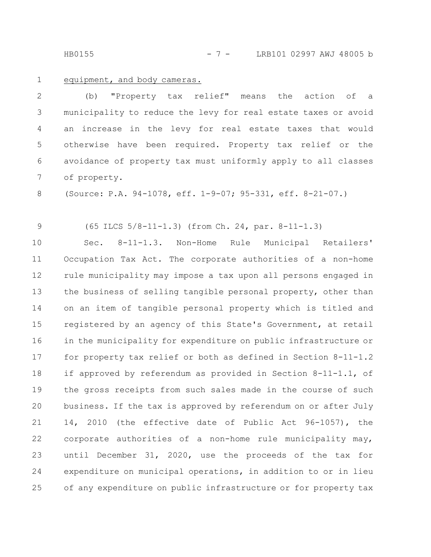HB0155 - 7 - LRB101 02997 AWJ 48005 b

equipment, and body cameras. 1

(b) "Property tax relief" means the action of a municipality to reduce the levy for real estate taxes or avoid an increase in the levy for real estate taxes that would otherwise have been required. Property tax relief or the avoidance of property tax must uniformly apply to all classes of property. 2 3 4 5 6 7

(Source: P.A. 94-1078, eff. 1-9-07; 95-331, eff. 8-21-07.) 8

(65 ILCS 5/8-11-1.3) (from Ch. 24, par. 8-11-1.3) 9

Sec. 8-11-1.3. Non-Home Rule Municipal Retailers' Occupation Tax Act. The corporate authorities of a non-home rule municipality may impose a tax upon all persons engaged in the business of selling tangible personal property, other than on an item of tangible personal property which is titled and registered by an agency of this State's Government, at retail in the municipality for expenditure on public infrastructure or for property tax relief or both as defined in Section 8-11-1.2 if approved by referendum as provided in Section 8-11-1.1, of the gross receipts from such sales made in the course of such business. If the tax is approved by referendum on or after July 14, 2010 (the effective date of Public Act 96-1057), the corporate authorities of a non-home rule municipality may, until December 31, 2020, use the proceeds of the tax for expenditure on municipal operations, in addition to or in lieu of any expenditure on public infrastructure or for property tax 10 11 12 13 14 15 16 17 18 19 20 21 22 23 24 25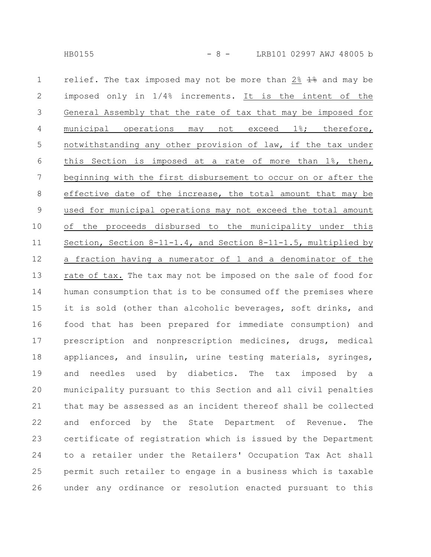relief. The tax imposed may not be more than  $2\frac{2}{3}$   $\frac{12}{3}$  and may be imposed only in 1/4% increments. It is the intent of the General Assembly that the rate of tax that may be imposed for municipal operations may not exceed 1%; therefore, notwithstanding any other provision of law, if the tax under this Section is imposed at a rate of more than 1%, then, beginning with the first disbursement to occur on or after the effective date of the increase, the total amount that may be used for municipal operations may not exceed the total amount of the proceeds disbursed to the municipality under this Section, Section 8-11-1.4, and Section 8-11-1.5, multiplied by a fraction having a numerator of 1 and a denominator of the rate of tax. The tax may not be imposed on the sale of food for human consumption that is to be consumed off the premises where it is sold (other than alcoholic beverages, soft drinks, and food that has been prepared for immediate consumption) and prescription and nonprescription medicines, drugs, medical appliances, and insulin, urine testing materials, syringes, and needles used by diabetics. The tax imposed by a municipality pursuant to this Section and all civil penalties that may be assessed as an incident thereof shall be collected and enforced by the State Department of Revenue. The certificate of registration which is issued by the Department to a retailer under the Retailers' Occupation Tax Act shall permit such retailer to engage in a business which is taxable under any ordinance or resolution enacted pursuant to this 1 2 3 4 5 6 7 8 9 10 11 12 13 14 15 16 17 18 19 20 21 22 23 24 25 26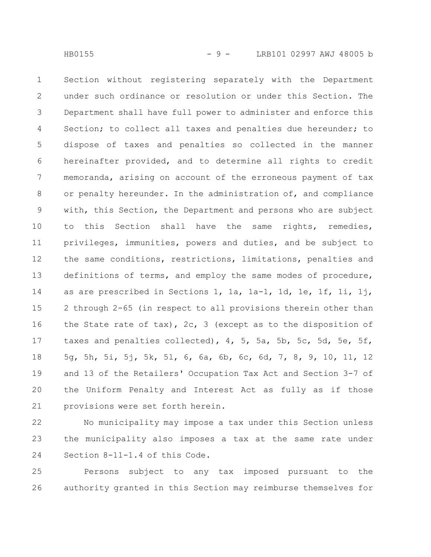Section without registering separately with the Department under such ordinance or resolution or under this Section. The Department shall have full power to administer and enforce this Section; to collect all taxes and penalties due hereunder; to dispose of taxes and penalties so collected in the manner hereinafter provided, and to determine all rights to credit memoranda, arising on account of the erroneous payment of tax or penalty hereunder. In the administration of, and compliance with, this Section, the Department and persons who are subject to this Section shall have the same rights, remedies, privileges, immunities, powers and duties, and be subject to the same conditions, restrictions, limitations, penalties and definitions of terms, and employ the same modes of procedure, as are prescribed in Sections 1, 1a, 1a-1, 1d, 1e, 1f, 1i, 1j, 2 through 2-65 (in respect to all provisions therein other than the State rate of tax), 2c, 3 (except as to the disposition of taxes and penalties collected), 4, 5, 5a, 5b, 5c, 5d, 5e, 5f, 5g, 5h, 5i, 5j, 5k, 5l, 6, 6a, 6b, 6c, 6d, 7, 8, 9, 10, 11, 12 and 13 of the Retailers' Occupation Tax Act and Section 3-7 of the Uniform Penalty and Interest Act as fully as if those provisions were set forth herein. 1 2 3 4 5 6 7 8 9 10 11 12 13 14 15 16 17 18 19 20 21

No municipality may impose a tax under this Section unless the municipality also imposes a tax at the same rate under Section 8-11-1.4 of this Code. 22 23 24

Persons subject to any tax imposed pursuant to the authority granted in this Section may reimburse themselves for 25 26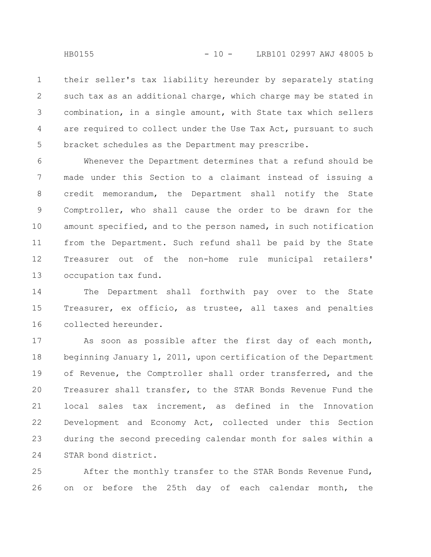their seller's tax liability hereunder by separately stating such tax as an additional charge, which charge may be stated in combination, in a single amount, with State tax which sellers are required to collect under the Use Tax Act, pursuant to such bracket schedules as the Department may prescribe. 1 2 3 4 5

Whenever the Department determines that a refund should be made under this Section to a claimant instead of issuing a credit memorandum, the Department shall notify the State Comptroller, who shall cause the order to be drawn for the amount specified, and to the person named, in such notification from the Department. Such refund shall be paid by the State Treasurer out of the non-home rule municipal retailers' occupation tax fund. 6 7 8 9 10 11 12 13

The Department shall forthwith pay over to the State Treasurer, ex officio, as trustee, all taxes and penalties collected hereunder. 14 15 16

As soon as possible after the first day of each month, beginning January 1, 2011, upon certification of the Department of Revenue, the Comptroller shall order transferred, and the Treasurer shall transfer, to the STAR Bonds Revenue Fund the local sales tax increment, as defined in the Innovation Development and Economy Act, collected under this Section during the second preceding calendar month for sales within a STAR bond district. 17 18 19 20 21 22 23 24

After the monthly transfer to the STAR Bonds Revenue Fund, on or before the 25th day of each calendar month, the 25 26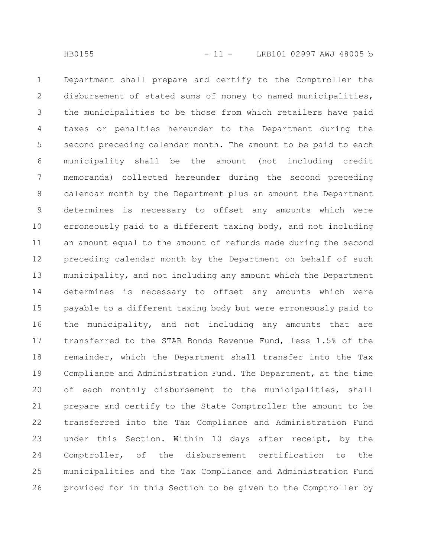Department shall prepare and certify to the Comptroller the disbursement of stated sums of money to named municipalities, the municipalities to be those from which retailers have paid taxes or penalties hereunder to the Department during the second preceding calendar month. The amount to be paid to each municipality shall be the amount (not including credit memoranda) collected hereunder during the second preceding calendar month by the Department plus an amount the Department determines is necessary to offset any amounts which were erroneously paid to a different taxing body, and not including an amount equal to the amount of refunds made during the second preceding calendar month by the Department on behalf of such municipality, and not including any amount which the Department determines is necessary to offset any amounts which were payable to a different taxing body but were erroneously paid to the municipality, and not including any amounts that are transferred to the STAR Bonds Revenue Fund, less 1.5% of the remainder, which the Department shall transfer into the Tax Compliance and Administration Fund. The Department, at the time of each monthly disbursement to the municipalities, shall prepare and certify to the State Comptroller the amount to be transferred into the Tax Compliance and Administration Fund under this Section. Within 10 days after receipt, by the Comptroller, of the disbursement certification to the municipalities and the Tax Compliance and Administration Fund provided for in this Section to be given to the Comptroller by 1 2 3 4 5 6 7 8 9 10 11 12 13 14 15 16 17 18 19 20 21 22 23 24 25 26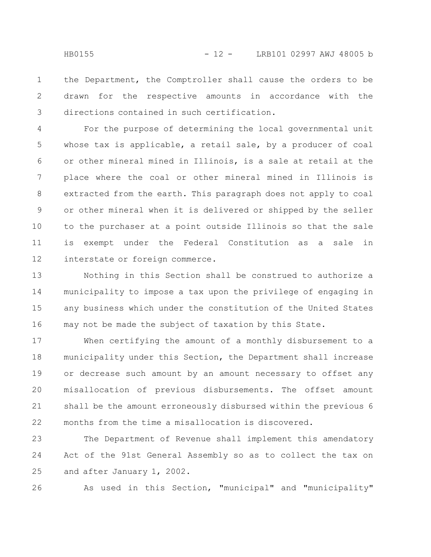the Department, the Comptroller shall cause the orders to be drawn for the respective amounts in accordance with the directions contained in such certification. 1 2 3

For the purpose of determining the local governmental unit whose tax is applicable, a retail sale, by a producer of coal or other mineral mined in Illinois, is a sale at retail at the place where the coal or other mineral mined in Illinois is extracted from the earth. This paragraph does not apply to coal or other mineral when it is delivered or shipped by the seller to the purchaser at a point outside Illinois so that the sale is exempt under the Federal Constitution as a sale in interstate or foreign commerce. 4 5 6 7 8 9 10 11 12

Nothing in this Section shall be construed to authorize a municipality to impose a tax upon the privilege of engaging in any business which under the constitution of the United States may not be made the subject of taxation by this State. 13 14 15 16

When certifying the amount of a monthly disbursement to a municipality under this Section, the Department shall increase or decrease such amount by an amount necessary to offset any misallocation of previous disbursements. The offset amount shall be the amount erroneously disbursed within the previous 6 months from the time a misallocation is discovered. 17 18 19 20 21 22

The Department of Revenue shall implement this amendatory Act of the 91st General Assembly so as to collect the tax on and after January 1, 2002. 23 24 25

As used in this Section, "municipal" and "municipality" 26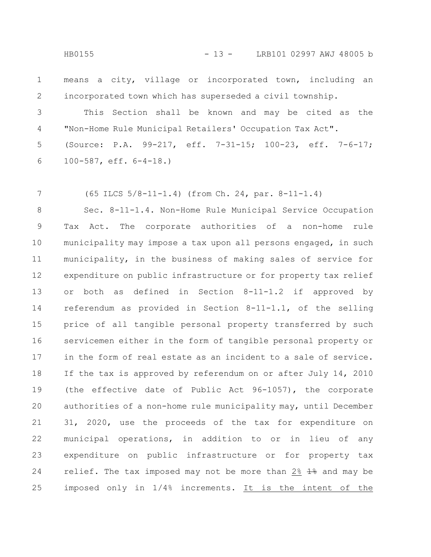means a city, village or incorporated town, including an incorporated town which has superseded a civil township. 1 2

This Section shall be known and may be cited as the "Non-Home Rule Municipal Retailers' Occupation Tax Act". (Source: P.A. 99-217, eff. 7-31-15; 100-23, eff. 7-6-17; 100-587, eff. 6-4-18.) 3 4 5 6

(65 ILCS 5/8-11-1.4) (from Ch. 24, par. 8-11-1.4) 7

Sec. 8-11-1.4. Non-Home Rule Municipal Service Occupation Tax Act. The corporate authorities of a non-home rule municipality may impose a tax upon all persons engaged, in such municipality, in the business of making sales of service for expenditure on public infrastructure or for property tax relief or both as defined in Section 8-11-1.2 if approved by referendum as provided in Section 8-11-1.1, of the selling price of all tangible personal property transferred by such servicemen either in the form of tangible personal property or in the form of real estate as an incident to a sale of service. If the tax is approved by referendum on or after July 14, 2010 (the effective date of Public Act 96-1057), the corporate authorities of a non-home rule municipality may, until December 31, 2020, use the proceeds of the tax for expenditure on municipal operations, in addition to or in lieu of any expenditure on public infrastructure or for property tax relief. The tax imposed may not be more than  $2\frac{2}{3}$   $\frac{12}{3}$  and may be imposed only in 1/4% increments. It is the intent of the 8 9 10 11 12 13 14 15 16 17 18 19 20 21 22 23 24 25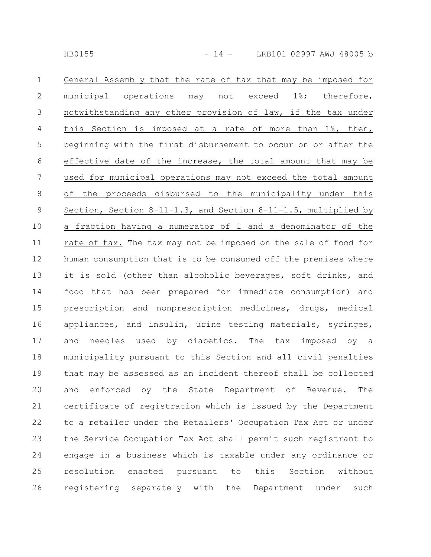| $\mathbf 1$    | General Assembly that the rate of tax that may be imposed for   |
|----------------|-----------------------------------------------------------------|
| $\mathbf{2}$   | municipal operations may not exceed 1%; therefore,              |
| 3              | notwithstanding any other provision of law, if the tax under    |
| 4              | this Section is imposed at a rate of more than 1%, then,        |
| 5              | beginning with the first disbursement to occur on or after the  |
| 6              | effective date of the increase, the total amount that may be    |
| $\overline{7}$ | used for municipal operations may not exceed the total amount   |
| $\,8\,$        | of the proceeds disbursed to the municipality under this        |
| $\mathsf 9$    | Section, Section 8-11-1.3, and Section 8-11-1.5, multiplied by  |
| 10             | a fraction having a numerator of 1 and a denominator of the     |
| 11             | rate of tax. The tax may not be imposed on the sale of food for |
| 12             | human consumption that is to be consumed off the premises where |
| 13             | it is sold (other than alcoholic beverages, soft drinks, and    |
| 14             | food that has been prepared for immediate consumption) and      |
| 15             | prescription and nonprescription medicines, drugs, medical      |
| 16             | appliances, and insulin, urine testing materials, syringes,     |
| 17             | and needles used by diabetics. The tax imposed by a             |
| 18             | municipality pursuant to this Section and all civil penalties   |
| 19             | that may be assessed as an incident thereof shall be collected  |
| 20             | and enforced by the State Department of Revenue. The            |
| 21             | certificate of registration which is issued by the Department   |
| 22             | to a retailer under the Retailers' Occupation Tax Act or under  |
| 23             | the Service Occupation Tax Act shall permit such registrant to  |
| 24             | engage in a business which is taxable under any ordinance or    |
| 25             | resolution enacted pursuant to this Section<br>without          |
| 26             | registering separately with the Department under<br>such        |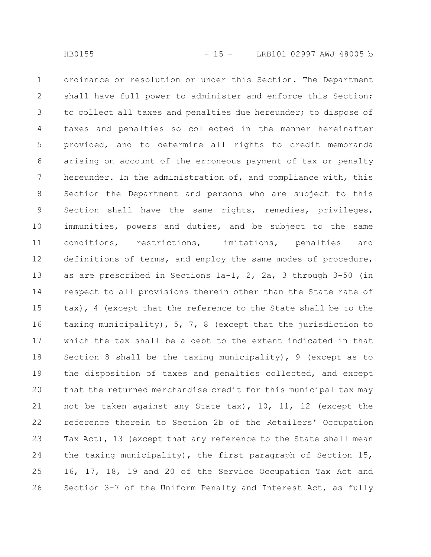ordinance or resolution or under this Section. The Department shall have full power to administer and enforce this Section; to collect all taxes and penalties due hereunder; to dispose of taxes and penalties so collected in the manner hereinafter provided, and to determine all rights to credit memoranda arising on account of the erroneous payment of tax or penalty hereunder. In the administration of, and compliance with, this Section the Department and persons who are subject to this Section shall have the same rights, remedies, privileges, immunities, powers and duties, and be subject to the same conditions, restrictions, limitations, penalties and definitions of terms, and employ the same modes of procedure, as are prescribed in Sections 1a-1, 2, 2a, 3 through 3-50 (in respect to all provisions therein other than the State rate of tax), 4 (except that the reference to the State shall be to the taxing municipality), 5, 7, 8 (except that the jurisdiction to which the tax shall be a debt to the extent indicated in that Section 8 shall be the taxing municipality), 9 (except as to the disposition of taxes and penalties collected, and except that the returned merchandise credit for this municipal tax may not be taken against any State tax), 10, 11, 12 (except the reference therein to Section 2b of the Retailers' Occupation Tax Act), 13 (except that any reference to the State shall mean the taxing municipality), the first paragraph of Section 15, 16, 17, 18, 19 and 20 of the Service Occupation Tax Act and Section 3-7 of the Uniform Penalty and Interest Act, as fully 1 2 3 4 5 6 7 8 9 10 11 12 13 14 15 16 17 18 19 20 21 22 23 24 25 26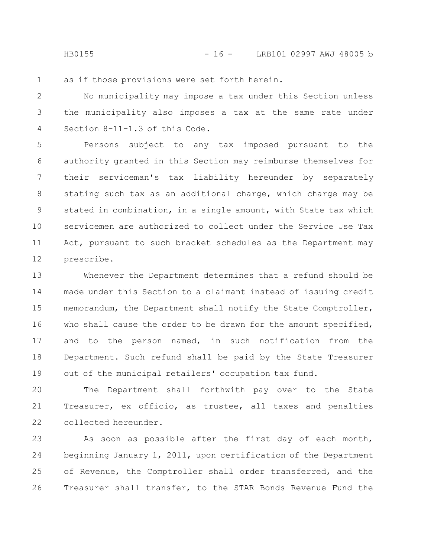as if those provisions were set forth herein. 1

No municipality may impose a tax under this Section unless the municipality also imposes a tax at the same rate under Section 8-11-1.3 of this Code. 2 3 4

Persons subject to any tax imposed pursuant to the authority granted in this Section may reimburse themselves for their serviceman's tax liability hereunder by separately stating such tax as an additional charge, which charge may be stated in combination, in a single amount, with State tax which servicemen are authorized to collect under the Service Use Tax Act, pursuant to such bracket schedules as the Department may prescribe. 5 6 7 8 9 10 11 12

Whenever the Department determines that a refund should be made under this Section to a claimant instead of issuing credit memorandum, the Department shall notify the State Comptroller, who shall cause the order to be drawn for the amount specified, and to the person named, in such notification from the Department. Such refund shall be paid by the State Treasurer out of the municipal retailers' occupation tax fund. 13 14 15 16 17 18 19

The Department shall forthwith pay over to the State Treasurer, ex officio, as trustee, all taxes and penalties collected hereunder. 20 21 22

As soon as possible after the first day of each month, beginning January 1, 2011, upon certification of the Department of Revenue, the Comptroller shall order transferred, and the Treasurer shall transfer, to the STAR Bonds Revenue Fund the 23 24 25 26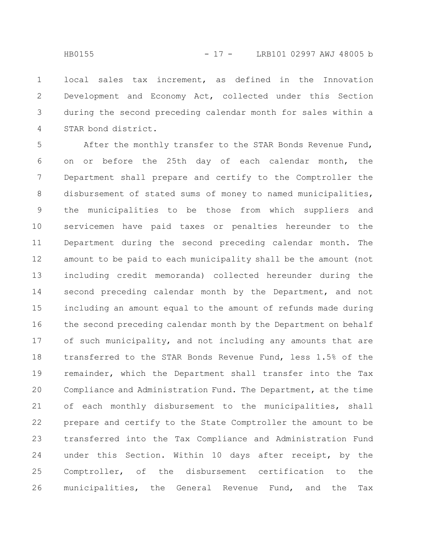local sales tax increment, as defined in the Innovation Development and Economy Act, collected under this Section during the second preceding calendar month for sales within a STAR bond district. 1 2 3 4

After the monthly transfer to the STAR Bonds Revenue Fund, on or before the 25th day of each calendar month, the Department shall prepare and certify to the Comptroller the disbursement of stated sums of money to named municipalities, the municipalities to be those from which suppliers and servicemen have paid taxes or penalties hereunder to the Department during the second preceding calendar month. The amount to be paid to each municipality shall be the amount (not including credit memoranda) collected hereunder during the second preceding calendar month by the Department, and not including an amount equal to the amount of refunds made during the second preceding calendar month by the Department on behalf of such municipality, and not including any amounts that are transferred to the STAR Bonds Revenue Fund, less 1.5% of the remainder, which the Department shall transfer into the Tax Compliance and Administration Fund. The Department, at the time of each monthly disbursement to the municipalities, shall prepare and certify to the State Comptroller the amount to be transferred into the Tax Compliance and Administration Fund under this Section. Within 10 days after receipt, by the Comptroller, of the disbursement certification to the municipalities, the General Revenue Fund, and the Tax 5 6 7 8 9 10 11 12 13 14 15 16 17 18 19 20 21 22 23 24 25 26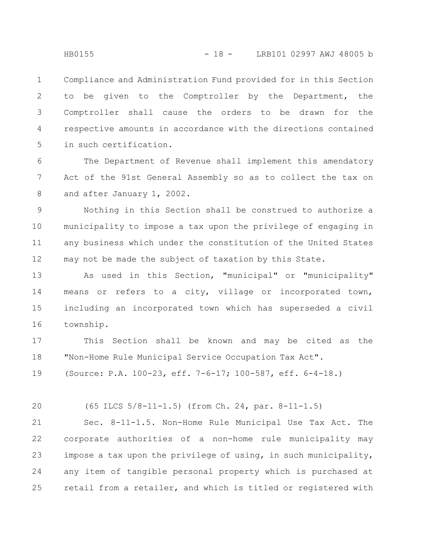Compliance and Administration Fund provided for in this Section to be given to the Comptroller by the Department, the Comptroller shall cause the orders to be drawn for the respective amounts in accordance with the directions contained in such certification. 1 2 3 4 5

The Department of Revenue shall implement this amendatory Act of the 91st General Assembly so as to collect the tax on and after January 1, 2002. 6 7 8

Nothing in this Section shall be construed to authorize a municipality to impose a tax upon the privilege of engaging in any business which under the constitution of the United States may not be made the subject of taxation by this State. 9 10 11 12

As used in this Section, "municipal" or "municipality" means or refers to a city, village or incorporated town, including an incorporated town which has superseded a civil township. 13 14 15 16

This Section shall be known and may be cited as the "Non-Home Rule Municipal Service Occupation Tax Act". 17 18

(Source: P.A. 100-23, eff. 7-6-17; 100-587, eff. 6-4-18.) 19

20

(65 ILCS 5/8-11-1.5) (from Ch. 24, par. 8-11-1.5)

Sec. 8-11-1.5. Non-Home Rule Municipal Use Tax Act. The corporate authorities of a non-home rule municipality may impose a tax upon the privilege of using, in such municipality, any item of tangible personal property which is purchased at retail from a retailer, and which is titled or registered with 21 22 23 24 25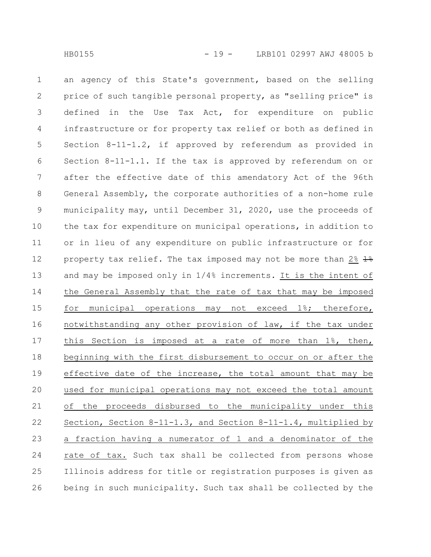an agency of this State's government, based on the selling price of such tangible personal property, as "selling price" is defined in the Use Tax Act, for expenditure on public infrastructure or for property tax relief or both as defined in Section 8-11-1.2, if approved by referendum as provided in Section 8-11-1.1. If the tax is approved by referendum on or after the effective date of this amendatory Act of the 96th General Assembly, the corporate authorities of a non-home rule municipality may, until December 31, 2020, use the proceeds of the tax for expenditure on municipal operations, in addition to or in lieu of any expenditure on public infrastructure or for property tax relief. The tax imposed may not be more than  $2\frac{24}{5}$ and may be imposed only in 1/4% increments. It is the intent of the General Assembly that the rate of tax that may be imposed for municipal operations may not exceed 1%; therefore, notwithstanding any other provision of law, if the tax under this Section is imposed at a rate of more than 1%, then, beginning with the first disbursement to occur on or after the effective date of the increase, the total amount that may be used for municipal operations may not exceed the total amount of the proceeds disbursed to the municipality under this Section, Section 8-11-1.3, and Section 8-11-1.4, multiplied by a fraction having a numerator of 1 and a denominator of the rate of tax. Such tax shall be collected from persons whose Illinois address for title or registration purposes is given as being in such municipality. Such tax shall be collected by the 1 2 3 4 5 6 7 8 9 10 11 12 13 14 15 16 17 18 19 20 21 22 23 24 25 26